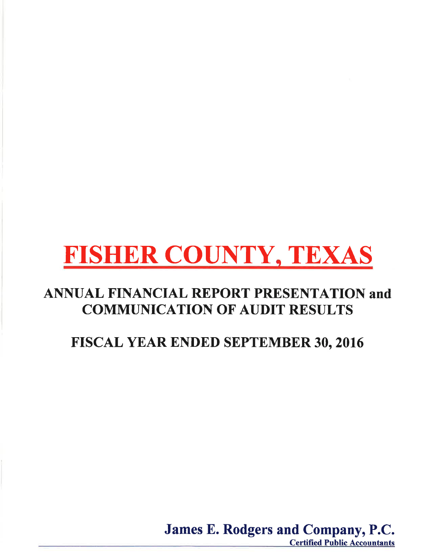### **ANNUAL FINANCIAL REPORT PRESENTATION and COMMUNICATION OF AUDIT RESULTS**

## FISCAL YEAR ENDED SEPTEMBER 30, 2016

James E. Rodgers and Company, P.C. **Certified Public Accountants**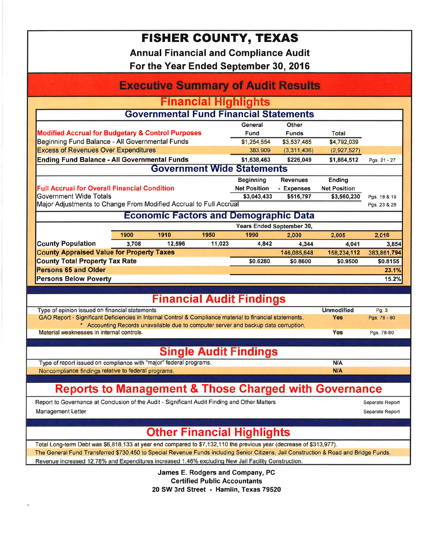**Annual Financial and Compliance Audit** 

For the Year Ended September 30, 2016

| <b>Executive Summary of Audit Results</b>                                                                                                                  |                                                                    |        |        |                                                                                     |              |                     |              |  |  |
|------------------------------------------------------------------------------------------------------------------------------------------------------------|--------------------------------------------------------------------|--------|--------|-------------------------------------------------------------------------------------|--------------|---------------------|--------------|--|--|
| <b>Financial Highlights</b>                                                                                                                                |                                                                    |        |        |                                                                                     |              |                     |              |  |  |
| <b>Governmental Fund Financial Statements</b>                                                                                                              |                                                                    |        |        |                                                                                     |              |                     |              |  |  |
| General<br>Other                                                                                                                                           |                                                                    |        |        |                                                                                     |              |                     |              |  |  |
|                                                                                                                                                            | <b>Modified Accrual for Budgetary &amp; Control Purposes</b>       |        |        |                                                                                     | <b>Funds</b> | Total               |              |  |  |
| Beginning Fund Balance - All Governmental Funds                                                                                                            |                                                                    |        |        | \$1,254,554<br>383,909                                                              | \$3,537,485  | \$4,792,039         |              |  |  |
|                                                                                                                                                            | <b>Excess of Revenues Over Expenditures</b>                        |        |        |                                                                                     | (3,311,436)  | (2,927,527)         |              |  |  |
| <b>Ending Fund Balance - All Governmental Funds</b>                                                                                                        |                                                                    |        |        | \$1,638,463                                                                         | \$226,049    | \$1,864,512         | Pgs. 21 - 27 |  |  |
| <b>Government Wide Statements</b>                                                                                                                          |                                                                    |        |        |                                                                                     |              |                     |              |  |  |
|                                                                                                                                                            |                                                                    |        |        | Beginning                                                                           | Revenues     | <b>Ending</b>       |              |  |  |
| <b>Full Accrual for Overall Financial Condition</b>                                                                                                        |                                                                    |        |        | <b>Net Position</b>                                                                 | - Expenses   | <b>Net Position</b> |              |  |  |
| Government Wide Totals                                                                                                                                     |                                                                    |        |        | \$3,043,433                                                                         | \$516,797    | \$3,560,230         | Pgs. 18 & 19 |  |  |
| Major Adjustments to Change From Modified Accrual to Full Accrual                                                                                          |                                                                    |        |        |                                                                                     |              |                     | Pgs. 23 & 28 |  |  |
| <b>Economic Factors and Demographic Data</b>                                                                                                               |                                                                    |        |        |                                                                                     |              |                     |              |  |  |
|                                                                                                                                                            |                                                                    |        |        | Years Ended September 30,                                                           |              |                     |              |  |  |
|                                                                                                                                                            | 1900                                                               | 1910   | 1950   | 1990                                                                                | 2,000        | 2,005               | 2,016        |  |  |
| <b>County Population</b>                                                                                                                                   | 3,708                                                              | 12,596 | 11,023 | 4,842                                                                               | 4,344        | 4,041               | 3,854        |  |  |
| <b>County Appraised Value for Property Taxes</b>                                                                                                           |                                                                    |        |        |                                                                                     | 146,085,648  | 158,234,112         | 383,861,794  |  |  |
| <b>County Total Property Tax Rate</b>                                                                                                                      |                                                                    |        |        | \$0.6280                                                                            | \$0.8600     | \$0.9500            | \$0.8155     |  |  |
| <b>Persons 65 and Older</b>                                                                                                                                |                                                                    |        |        |                                                                                     |              |                     | 23.1%        |  |  |
| <b>Persons Below Poverty</b>                                                                                                                               |                                                                    |        |        |                                                                                     |              |                     | 15.2%        |  |  |
|                                                                                                                                                            |                                                                    |        |        | <b>Financial Audit Findings</b>                                                     |              |                     |              |  |  |
|                                                                                                                                                            |                                                                    |        |        |                                                                                     |              | <b>Unmodified</b>   | Pg.3         |  |  |
| Type of opinion issued on financial statements<br>GAO Report - Significant Deficiencies in Internal Control & Compliance material to financial statements. |                                                                    |        |        |                                                                                     |              | <b>Yes</b>          | Pgs. 78 - 80 |  |  |
|                                                                                                                                                            |                                                                    |        |        | * Accounting Records unavailable due to computer server and backup data corruption. |              |                     |              |  |  |
| Material weaknesses in internal controls.                                                                                                                  |                                                                    |        |        |                                                                                     | Yes          | Pgs. 78-80          |              |  |  |
|                                                                                                                                                            |                                                                    |        |        |                                                                                     |              |                     |              |  |  |
|                                                                                                                                                            |                                                                    |        |        | <b>Single Audit Findings</b>                                                        |              |                     |              |  |  |
|                                                                                                                                                            | Type of report issued on compliance with "major" federal programs. |        |        |                                                                                     |              | N/A                 |              |  |  |
| Noncompliance findings relative to federal programs.                                                                                                       |                                                                    |        |        |                                                                                     |              | <b>N/A</b>          |              |  |  |
|                                                                                                                                                            |                                                                    |        |        |                                                                                     |              |                     |              |  |  |
| <b>Reports to Management &amp; Those Charged with Governance</b>                                                                                           |                                                                    |        |        |                                                                                     |              |                     |              |  |  |
| Report to Governance at Conclusion of the Audit - Significant Audit Finding and Other Matters<br>Separate Report                                           |                                                                    |        |        |                                                                                     |              |                     |              |  |  |
| Management Letter                                                                                                                                          |                                                                    |        |        | Separate Report                                                                     |              |                     |              |  |  |
|                                                                                                                                                            |                                                                    |        |        |                                                                                     |              |                     |              |  |  |
| <b>Other Financial Highlights</b>                                                                                                                          |                                                                    |        |        |                                                                                     |              |                     |              |  |  |
| Total Long-term Debt was \$6,818,133 at year end compared to \$7,132,110 the previous year (decrease of \$313,977).                                        |                                                                    |        |        |                                                                                     |              |                     |              |  |  |
| The General Fund Transferred \$730,450 to Special Revenue Funds including Senior Citizens, Jail Construction & Road and Bridge Funds.                      |                                                                    |        |        |                                                                                     |              |                     |              |  |  |
| Revenue increased 12.78% and Expenditures increased 1.46% excluding New Jail Facility Construction.                                                        |                                                                    |        |        |                                                                                     |              |                     |              |  |  |
|                                                                                                                                                            |                                                                    |        |        | James E. Rodgers and Company, PC                                                    |              |                     |              |  |  |
| <b>Certified Public Accountants</b>                                                                                                                        |                                                                    |        |        |                                                                                     |              |                     |              |  |  |

20 SW 3rd Street - Hamlin, Texas 79520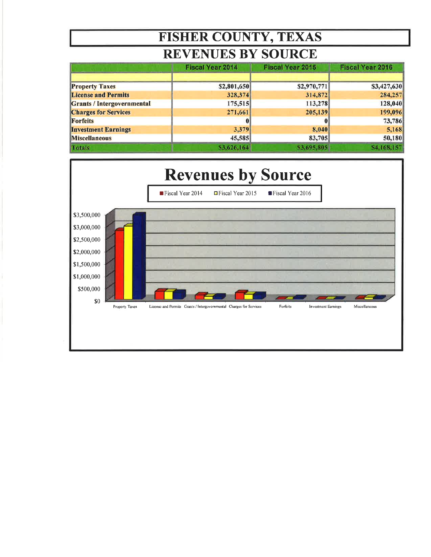### **REVENUES BY SOURCE**

|                                   | <b>Fiscal Year 2014</b> | <b>Fiscal Year 2015</b> | <b>Fiscal Year 2016</b> |  |
|-----------------------------------|-------------------------|-------------------------|-------------------------|--|
|                                   |                         |                         |                         |  |
| <b>Property Taxes</b>             | \$2,801,650             | \$2,970,771             | \$3,427,630             |  |
| <b>License and Permits</b>        | 328,374                 | 314,872                 | 284,257                 |  |
| <b>Grants / Intergovernmental</b> | 175,515                 | 113,278                 | 128,040                 |  |
| <b>Charges for Services</b>       | 271,661                 | 205,139                 | 199,096                 |  |
| <b>Forfeits</b>                   |                         |                         | 73,786                  |  |
| <b>Investment Earnings</b>        | 3,379                   | 8,040                   | 5,168                   |  |
| <b>Miscellaneous</b>              | 45,585                  | 83,705                  | 50,180                  |  |
| <b>Totals</b>                     | \$3,626,164             | \$3,695,805             | \$4,168,157             |  |

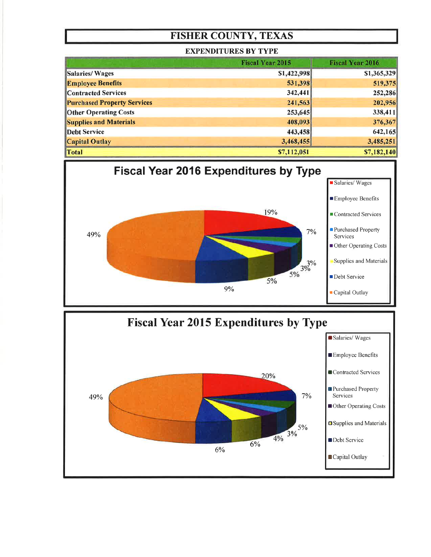#### **EXPENDITURES BY TYPE**

|                                    | <b>Fiscal Year 2015</b> | <b>Fiscal Year 2016</b> |
|------------------------------------|-------------------------|-------------------------|
| Salaries/Wages                     | \$1,422,998             | \$1,365,329             |
| <b>Employee Benefits</b>           | 531,398                 | 519,375                 |
| <b>Contracted Services</b>         | 342,441                 | 252,286                 |
| <b>Purchased Property Services</b> | 241,563                 | 202,956                 |
| <b>Other Operating Costs</b>       | 253,645                 | 338,411                 |
| <b>Supplies and Materials</b>      | 408,093                 | 376,367                 |
| <b>Debt Service</b>                | 443,458                 | 642,165                 |
| <b>Capital Outlay</b>              | 3,468,455               | 3,485,251               |
| Total                              | \$7,112,051             | \$7,182,140             |



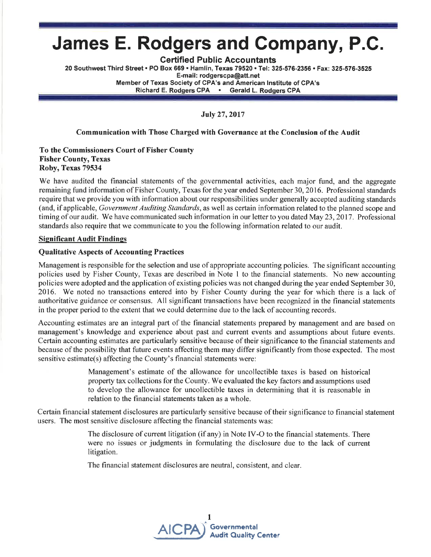# James E. Rodgers and Compahy, P.G.

Certified Public Accountants

20 Southwest Third Street . PO Box 669 . Hamlin, Texas 79520 . Tel: 325-576-2356 . Fax: 325-576-3525 E-mail: rodgerscpa@att.net Member of Texas Society of CPA's and American lnstitute of CPA's Richard E. Rodgers CPA . Gerald L. Rodgers CPA

July 27,2017

#### Communication with Those Charged with Governance at the Conclusion of the Audit

#### To the Commissioners Court of Fisher County **Fisher County, Texas** Roby, Texas 79534

We have audited the financial statements of the governmental activities, each major fund, and the aggregate remaining fund information of Fisher County, Texas for the year ended September 30,2016. Professional standards require that we provide you with information about our responsibilities under generally accepted auditing standards (and, if applicable, Government Auditing Standards, as well as certain information related to the planned scope and timing of our audit. We have communicated such information in our letter to you dated May 23,2017. Professional standards also require that we communicate to you the following information related to our audit.

#### **Significant Audit Findings**

#### Qualitative Aspects of Accounting Practices

Management is responsible for the selection and use of appropriate accounting policies. The significant accounting policies used by Fisher County, Texas are described in Note I to the financial statements. No new accounting policies were adopted and the application of existing policies was not changed during the year ended September 30, 2016. We noted no transactions entered into by Fisher County during the year for which there is a lack of authoritative guidance or consensus. All significant transactions have been recognized in the financial statements in the proper period to the extent that we could determine due to the lack of accounting records.

Accounting estimates are an integral part of the financial statements prepared by management and are based on management's knowledge and experience about past and current events and assumptions about future events. Certain accounting estimates are particularly sensitive because of their significance to the financial statements and because of the possibility that future events affecting them may differ significantly from those expected. The most sensitive estimate(s) affecting the County's financial statements were:

> Management's estimate of the allowance for uncollectible taxes is based on historical property tax collections for the County. We evaluated the key factors and assumptions used to develop the allowance for uncollectible taxes in determining that it is reasonable in relation to the financial statements taken as a whole.

Certain financial statement disclosures are particularly sensitive because of their significance to financial statement users. The most sensitive disclosure affecting the financial statements was:

> The disclosure of current litigation (if any) in Note IV-O to the financial statements. There were no issues or judgments in formulating the disclosure due to the lack of current litigation.

The financial statement disclosures are neutral, consistent, and clear.

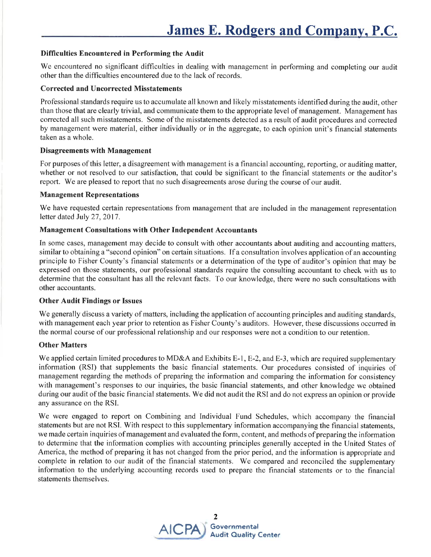#### Difficulties Encountered in Performing the Audit

We encountered no significant difficulties in dealing with management in performing and completing our audit other than the difficulties encountered due to the lack ofrecords.

#### Corrected and Uncorrected Misstatements

Professional standards require us to accumulate all known and likely misstatements identified during the audit, other than those that are clearly trivial, and communicate them to the appropriate level of management. Management has corrected all such misstatements. Some of the misstatements detected as a result of audit procedures and corrected by management were material, either individually or in the aggregate, to each opinion unit's financial statements taken as a whole.

#### **Disagreements with Management**

For purposes of this letter, a disagreement with management is a financial accounting, reporting, or auditing matter, whether or not resolved to our satisfaction, that could be significant to the financial statements or the auditor's report. We are pleased to report that no such disagreements arose during the course of our audit.

#### Management Representations

We have requested certain representations from management that are included in the management representation letter dated July 27, 2017.

#### Management Consultations with Other Independent Accountants

In some cases, management may decide to consult with other accountants about auditing and accounting matters, similar to obtaining a "second opinion" on certain situations. If a consultation involves application of an accounting principle to Fisher County's financial statements or a determination of the type of auditor's opinion that may be expressed on those statements, our professional standards require the consulting accountant to check with us to determine that the consultant has all the relevant facts. To our knowledge, there were no such consultations with other accountants.

#### Other Audit Findings or Issues

We generally discuss a variety of matters, including the application of accounting principles and auditing standards, with management each year prior to retention as Fisher County's auditors. However, these discussions occurred in the normal course of our professional relationship and our responses were not a condition to our retention.

#### Other Matters

We applied certain limited procedures to MD&A and Exhibits E-1, E-2, and E-3, which are required supplementary information (RSI) that supplements the basic financial statements. Our procedures consisted of inquiries of management regarding the methods of preparing the information and comparing the information for consistency with management's responses to our inquiries, the basic financial statements, and other knowledge we obtained during our audit of the basic financial statements. We did not audit the RSI and do not express an opinion or provide any assurance on the RSI.

We were engaged to report on Combining and Individual Fund Schedules, which accompany the financial statements but are not RSI. With respect to this supplementary information accompanying the financial statements, we made certain inquiries of management and evaluated the form, content, and methods of preparing the information to determine that the information complies with accounting principles generally accepted in the United States of America, the method of preparing it has not changed from the prior period, and the information is appropriate and complete in relation to our audit of the financial statements. We compared and reconciled the supplementary information to the underlying accounting records used to prepare the financial statements or to the financial statements themselves.

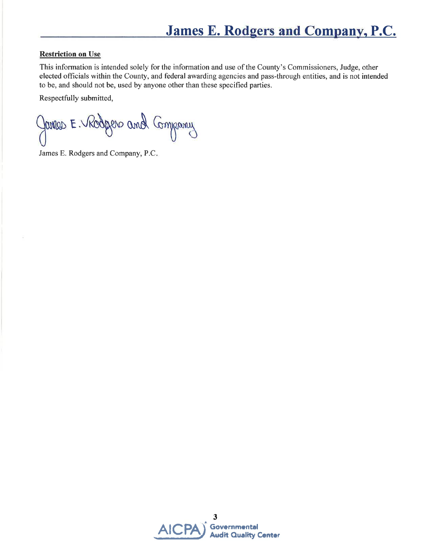#### **Restriction on Use**

This information is intended solely for the information and use of the County's Commissioners, Judge, other elected officials within the County, and federal awarding agencies and pass-through entities, and is not intended to be, and should not be, used by anyone other than these specified parties.

Respectfully submitted,

James E. Rodgers and Company

James E. Rodgers and Company, P.C.

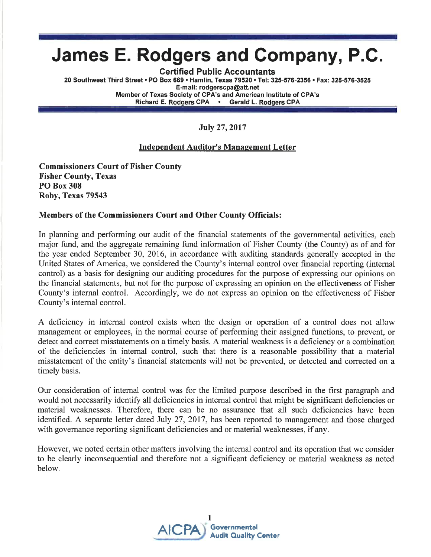# James E. Rodgers and Company, P.C.

Gertified Public Accountants

20 Southwest Third Street . PO Box 669 . Hamlin, Texas 79520 . Tel: 325-576-2356 . Fax: 325-576-3525 E-mail: rodgerscpa@att.net Member of Texas Society of CPA's and American lnstitute of CPA's Richard E. Rodgers CPA . Gerald L. Rodgers CPA

July 27,2017

#### Independent Auditor's Management Letter

Commissioners Court of Fisher County Fisher County, Texas PO Box 308 Roby, Texas 79543

#### Members of the Commissioners Court and Other County Officials:

In planning and performing our audit of the financial statements of the governmental activities, each major fund, and the aggregate remaining fund information of Fisher County (the County) as of and for the year ended September 30, 2016, in accordance with auditing standards generally accepted in the United States of America, we considered the County's internal control over financial reporting (internal control) as a basis for designing our auditing procedures for the purpose of expressing our opinions on the hnancial statements, but not for the purpose of expressing an opinion on the effectiveness of Fisher County's internal control. Accordingly, we do not express an opinion on the effectiveness of Fisher County's internal control.

A deficiency in internal control exists when the design or operation of a control does not allow management or employees, in the normal course of performing their assigned functions, to prevent, or detect and correct misstatements on a timely basis. A material weakness is a deficiency or a combination of the deficiencies in internal control, such that there is a reasonable possibility that a material misstatement of the entity's financial statements will not be prevented, or detected and corrected on a timely basis.

Our consideration of internal control was for the limited purpose described in the first paragraph and would not necessarily identify all deficiencies in internal control that might be significant deficiencies or material weaknesses. Therefore, there can be no assurance that all such deficiencies have been identified. A separate letter dated July 27, 2017, has been reported to management and those charged with governance reporting significant deficiencies and or material weaknesses, if any.

However, we noted certain other matters involving the internal control and its operation that we consider to be clearly inconsequential and therefore not a significant deficiency or material weakness as noted below.

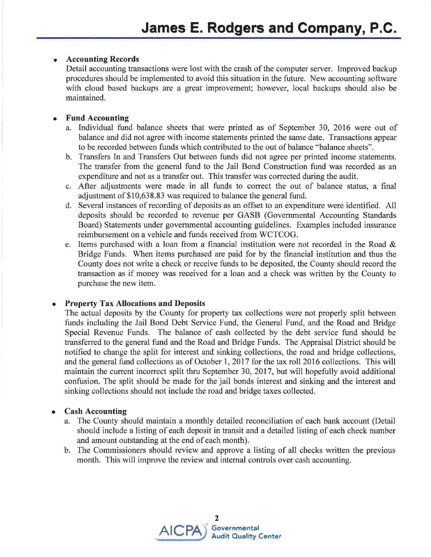#### Accounting Records

Detail accounting transactions were lost with the crash of the computer server. Improved backup procedures should be implemented to avoid this situation in the future. New accounting software with cloud based backups are a great improvement; however, local backups should also be maintained.

#### a Fund Accounting

- a. Individual fund balance sheets that were printed as of September 30, 2016 were out of balance and did not agree with income statements printed the same date. Transactions appear to be recorded between funds which contributed to the out of balance "balance sheets".
- b. Transfers In and Transfers Out between funds did not agree per printed income statements. The transfer from the general fund to the Jail Bond Construction fund was recorded as an expenditure and not as a transfer out. This transfer was corrected during the audit.
- c. After adjustments were made in all funds to correct the out of balance status, a final adjustment of \$10,638.83 was required to balance the general fund.
- d. Several instances of recording of deposits as an ofßet to an expenditure were identified. All deposits should be recorded to revenue per GASB (Governmental Accounting Standards Board) Statements under goverrmental accounting guidelines. Examples included insurance reimbursement on a vehicle and funds received from WCTCOG.
- e. Items purchased with a loan from a financial institution were not recorded in the Road  $\&$ Bridge Funds. When items purchased are paid for by the financial institution and thus the County does not write a check or receive funds to be deposited, the County should record the transaction as if money was received for a loan and a check was written by the County to purchase the new item.

#### Property Tax Allocations and Deposits a

The actual deposits by the County for property tax collections were not properly split between funds including the Jail Bond Debt Service Fund, the General Fund, and the Road and Bridge Special Revenue Funds. The balance of cash collected by the debt service fund should be transferred to the general fund and the Road and Bridge Funds. The Appraisal District should be notified to change the split for interest and sinking collections, the road and bridge collections, and the general fund collections as of October 1,2017 for the tax roll2016 collections. This will maintain the current incorrect split thru September 30, 2017, but will hopefully avoid additional confusion. The split should be made for the jail bonds interest and sinking and the interest and sinking collections should not include the road and bridge taxes collected.

#### Cash Accounting o

- a. The County should maintain a monthly detailed reconciliation of each bank account (Detail should include a listing of each deposit in transit and a detailed listing of each check number and amount outstanding at the end of each month).
- b. The Commissioners should review and approve a listing of all checks written the previous month. This will improve the review and internal controls over cash accounting.